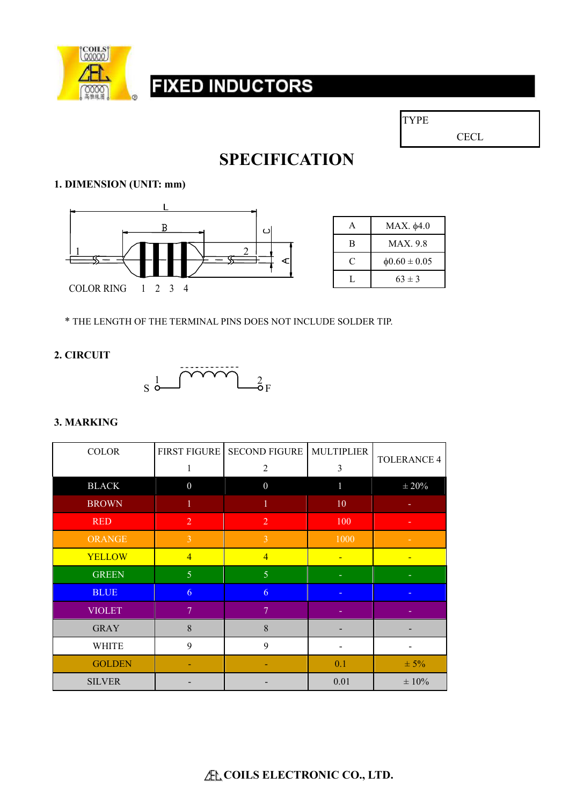

TYPE

**CECL** 

### **SPECIFICATION**

#### 1. DIMENSION (UNIT: mm)



| $\blacktriangle$ | MAX. $\phi$ 4.0    |
|------------------|--------------------|
| B                | <b>MAX.</b> 9.8    |
| ⊖                | $\phi$ 0.60 ± 0.05 |
|                  | $63 \pm 3$         |

\* THE LENGTH OF THE TERMINAL PINS DOES NOT INCLUDE SOLDER TIP.

#### 2. CIRCUIT



#### 3. MARKING

| <b>COLOR</b>  | <b>FIRST FIGURE</b> | <b>SECOND FIGURE</b> | MULTIPLIER   | <b>TOLERANCE 4</b> |  |
|---------------|---------------------|----------------------|--------------|--------------------|--|
|               | 1                   | $\overline{2}$       | 3            |                    |  |
| <b>BLACK</b>  | $\boldsymbol{0}$    | $\boldsymbol{0}$     | $\mathbf{1}$ | $\pm 20\%$         |  |
| <b>BROWN</b>  |                     | 1                    | 10           |                    |  |
| <b>RED</b>    | $\overline{2}$      | $\overline{2}$       | 100          |                    |  |
| <b>ORANGE</b> | 3                   | 3                    | 1000         |                    |  |
| <b>YELLOW</b> | $\overline{4}$      | $\overline{4}$       |              |                    |  |
| <b>GREEN</b>  | 5                   | $\overline{5}$       |              |                    |  |
| <b>BLUE</b>   | 6                   | 6                    |              |                    |  |
| <b>VIOLET</b> | $\overline{7}$      | 7                    |              |                    |  |
| <b>GRAY</b>   | 8                   | 8                    |              |                    |  |
| <b>WHITE</b>  | 9                   | 9                    |              |                    |  |
| <b>GOLDEN</b> |                     |                      | 0.1          | $± 5\%$            |  |
| <b>SILVER</b> |                     |                      | 0.01         | $\pm 10\%$         |  |

**ARE COILS ELECTRONIC CO., LTD.**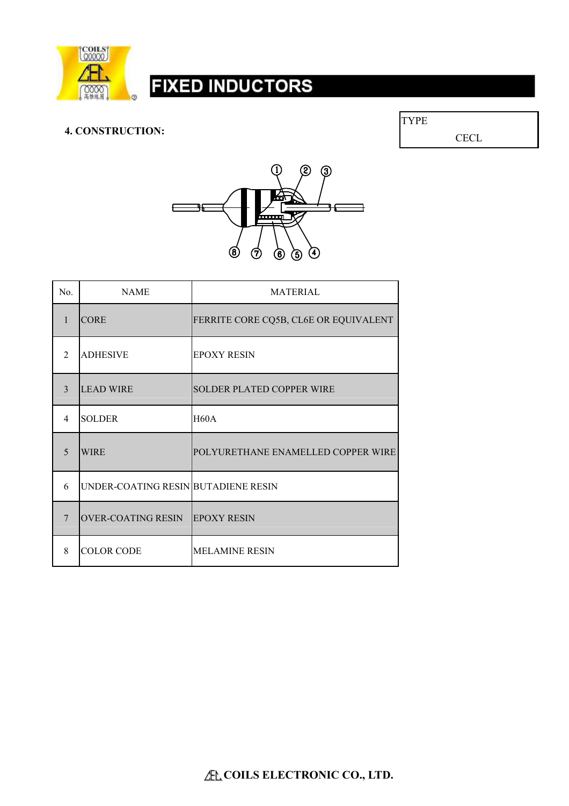

4. CONSTRUCTION:





| No.            | <b>NAME</b>                         | <b>MATERIAL</b>                       |
|----------------|-------------------------------------|---------------------------------------|
| 1              | <b>CORE</b>                         | FERRITE CORE CQ5B, CL6E OR EQUIVALENT |
| $\mathfrak{D}$ | <b>ADHESIVE</b>                     | <b>EPOXY RESIN</b>                    |
| 3              | <b>LEAD WIRE</b>                    | <b>SOLDER PLATED COPPER WIRE</b>      |
| $\overline{4}$ | <b>SOLDER</b>                       | H60A                                  |
| 5              | <b>WIRE</b>                         | POLYURETHANE ENAMELLED COPPER WIRE    |
| 6              | UNDER-COATING RESIN BUTADIENE RESIN |                                       |
| 7              | <b>OVER-COATING RESIN</b>           | <b>EPOXY RESIN</b>                    |
| 8              | <b>COLOR CODE</b>                   | <b>MELAMINE RESIN</b>                 |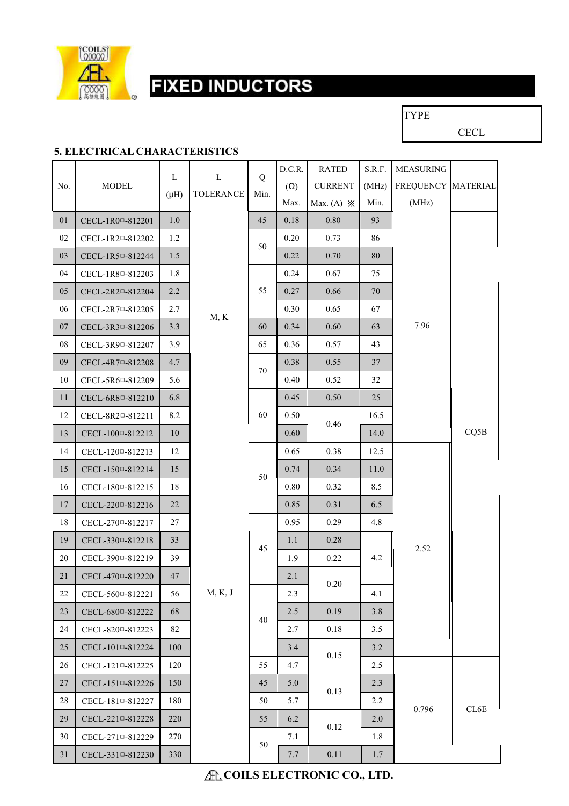

TYPE

**CECL** 

#### 5. ELECTRICAL CHARACTERISTICS

|            |                                               | $\mathbf L$ | $\mathbf L$      | Q    | D.C.R.     | <b>RATED</b>          | S.R.F. | <b>MEASURING</b>   |      |
|------------|-----------------------------------------------|-------------|------------------|------|------------|-----------------------|--------|--------------------|------|
| No.        | <b>MODEL</b>                                  | $(\mu H)$   | <b>TOLERANCE</b> | Min. | $(\Omega)$ | <b>CURRENT</b>        | (MHz)  | FREQUENCY MATERIAL |      |
|            |                                               |             |                  |      | Max.       | Max. (A) $\mathbb{X}$ | Min.   | (MHz)              |      |
| 01         | CECL-1R0 <sup>0</sup> -812201                 | 1.0         |                  | 45   | 0.18       | 0.80                  | 93     |                    |      |
| 02         | CECL-1R2 <sup>0</sup> -812202                 | 1.2         |                  | 50   | 0.20       | 0.73                  | 86     |                    |      |
| 03         | CECL-1R5 <sup>0</sup> -812244                 | 1.5         |                  |      | 0.22       | 0.70                  | 80     |                    |      |
| 04         | CECL-1R8 <sup>0</sup> -812203                 | 1.8         |                  |      | 0.24       | 0.67                  | 75     |                    |      |
| 05         | CECL-2R2 <sup>0</sup> -812204                 | 2.2         |                  | 55   | 0.27       | 0.66                  | 70     |                    |      |
| 06         | CECL-2R7 <sup>0</sup> -812205                 | 2.7         | M, K             |      | 0.30       | 0.65                  | 67     |                    |      |
| 07         | CECL-3R3 <sup>0</sup> -812206                 | 3.3         |                  | 60   | 0.34       | 0.60                  | 63     | 7.96               |      |
| ${\bf 08}$ | CECL-3R9 <sup>0</sup> -812207                 | 3.9         |                  | 65   | 0.36       | 0.57                  | 43     |                    |      |
| 09         | CECL-4R7 <sup>0</sup> -812208                 | 4.7         |                  | 70   | 0.38       | 0.55                  | 37     |                    |      |
| 10         | CECL-5R6 <sup>0</sup> -812209                 | 5.6         |                  |      | 0.40       | 0.52                  | 32     |                    |      |
| 11         | CECL-6R8 <sup><math>\Box</math></sup> -812210 | 6.8         |                  |      | 0.45       | 0.50                  | 25     |                    |      |
| 12         | CECL-8R2 <sup>0</sup> -812211                 | 8.2         |                  | 60   | 0.50       |                       | 16.5   |                    |      |
| 13         | CECL-100 <sup>o</sup> -812212                 | 10          |                  |      | 0.60       | 0.46                  | 14.0   |                    | CQ5B |
| 14         | CECL-120 <sup>0</sup> -812213                 | 12          |                  |      | 0.65       | 0.38                  | 12.5   |                    |      |
| 15         | CECL-150 <sup>0</sup> -812214                 | 15          |                  |      | 0.74       | 0.34                  | 11.0   |                    |      |
| 16         | CECL-180 <sup>-812215</sup>                   | 18          |                  | 50   | 0.80       | 0.32                  | 8.5    |                    |      |
| 17         | CECL-220 <sup>0</sup> -812216                 | 22          |                  |      | 0.85       | 0.31                  | 6.5    |                    |      |
| $18\,$     | CECL-270 <sup>0</sup> -812217                 | 27          |                  |      | 0.95       | 0.29                  | 4.8    |                    |      |
| 19         | CECL-330 <sup>0</sup> -812218                 | 33          |                  |      | 1.1        | 0.28                  |        |                    |      |
| 20         | CECL-390 <sup>□</sup> -812219                 | 39          |                  | 45   |            | 0.22                  | 4.2    | 2.52               |      |
| 21         | CECL-470 <sup>0</sup> -812220                 | 47          |                  |      | 2.1        |                       |        |                    |      |
| 22         | CECL-560 <sup><math>\Box</math></sup> -812221 | 56          | M, K, J          |      | 2.3        | $0.20\,$              | 4.1    |                    |      |
| 23         | CECL-680 <sup>o</sup> -812222                 | 68          |                  |      | 2.5        | 0.19                  | 3.8    |                    |      |
| 24         | CECL-820 <sup>0</sup> -812223                 | 82          |                  | 40   | 2.7        | 0.18                  | 3.5    |                    |      |
| 25         | CECL-101 <sup>□</sup> -812224                 | 100         |                  |      | 3.4        |                       | 3.2    |                    |      |
| 26         | CECL-121 <sup>0</sup> -812225                 | 120         |                  | 55   | 4.7        | 0.15                  | 2.5    |                    |      |
| $27\,$     | CECL-151 <sup>0</sup> -812226                 | 150         |                  | 45   | 5.0        |                       | 2.3    |                    |      |
| $28\,$     | CECL-181 <sup>0</sup> -812227                 | 180         |                  | 50   | 5.7        | 0.13                  | 2.2    |                    |      |
| 29         | CECL-221 <sup>0</sup> -812228                 | 220         |                  | 55   | 6.2        |                       | 2.0    | 0.796              | CL6E |
| 30         | CECL-271 <sup>□</sup> -812229                 | 270         |                  |      | 7.1        | 0.12                  | 1.8    |                    |      |
| 31         | CECL-331□-812230                              | 330         |                  | 50   | 7.7        | 0.11                  | 1.7    |                    |      |

**ARE COILS ELECTRONIC CO., LTD.**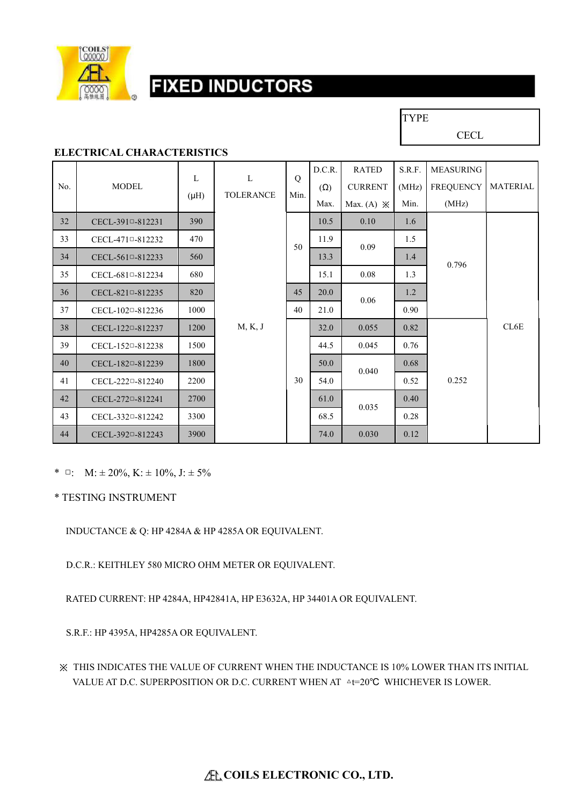

TYPE

**CECL** 

#### ELECTRICAL CHARACTERISTICS

|     |                                               | L    | L                | Q    | D.C.R.     | <b>RATED</b>          | S.R.F. | <b>MEASURING</b> |                 |
|-----|-----------------------------------------------|------|------------------|------|------------|-----------------------|--------|------------------|-----------------|
| No. | <b>MODEL</b>                                  |      | <b>TOLERANCE</b> | Min. | $(\Omega)$ | <b>CURRENT</b>        | (MHz)  | <b>FREQUENCY</b> | <b>MATERIAL</b> |
|     |                                               | (HH) |                  |      | Max.       | Max. (A) $\mathbb{X}$ | Min.   | (MHz)            |                 |
| 32  | CECL-391 <sup>-812231</sup>                   | 390  |                  |      | 10.5       | 0.10                  | 1.6    |                  |                 |
| 33  | CECL-471 <sup>0</sup> -812232                 | 470  |                  | 50   | 11.9       | 0.09                  | 1.5    |                  |                 |
| 34  | CECL-561 <sup>-812233</sup>                   | 560  |                  |      | 13.3       |                       | 1.4    | 0.796            |                 |
| 35  | CECL-681 <sup>0</sup> -812234                 | 680  |                  |      | 15.1       | 0.08                  | 1.3    |                  |                 |
| 36  | CECL-821 <sup><math>\Box</math></sup> -812235 | 820  |                  | 45   | 20.0       | 0.06                  | 1.2    |                  |                 |
| 37  | CECL-102 <sup>0</sup> -812236                 | 1000 |                  | 40   | 21.0       |                       | 0.90   |                  |                 |
| 38  | CECL-122 <sup>0</sup> -812237                 | 1200 | M, K, J          |      | 32.0       | 0.055                 | 0.82   |                  | CL6E            |
| 39  | CECL-152 <sup>0</sup> -812238                 | 1500 |                  |      | 44.5       | 0.045                 | 0.76   |                  |                 |
| 40  | CECL-182 <sup>0</sup> -812239                 | 1800 |                  |      | 50.0       | 0.040                 | 0.68   |                  |                 |
| 41  | CECL-222 <sup>0</sup> -812240                 | 2200 |                  | 30   | 54.0       | 0.52                  | 0.252  |                  |                 |
| 42  | CECL-272 <sup>0</sup> -812241                 | 2700 |                  |      | 61.0       |                       | 0.40   |                  |                 |
| 43  | CECL-332 <sup>0</sup> -812242                 | 3300 |                  |      | 68.5       | 0.035                 | 0.28   |                  |                 |
| 44  | CECL-392 <sup>-812243</sup>                   | 3900 |                  |      | 74.0       | 0.030                 | 0.12   |                  |                 |

\*  $\Box$ : M:  $\pm 20\%$ , K:  $\pm 10\%$ , J:  $\pm 5\%$ 

\* TESTING INSTRUMENT

INDUCTANCE & Q: HP 4284A & HP 4285A OR EQUIVALENT.

D.C.R.: KEITHLEY 580 MICRO OHM METER OR EQUIVALENT.

RATED CURRENT: HP 4284A, HP42841A, HP E3632A, HP 34401A OR EQUIVALENT.

S.R.F.: HP 4395A, HP4285A OR EQUIVALENT.

※ THIS INDICATES THE VALUE OF CURRENT WHEN THE INDUCTANCE IS 10% LOWER THAN ITS INITIAL VALUE AT D.C. SUPERPOSITION OR D.C. CURRENT WHEN AT △t=20℃ WHICHEVER IS LOWER.